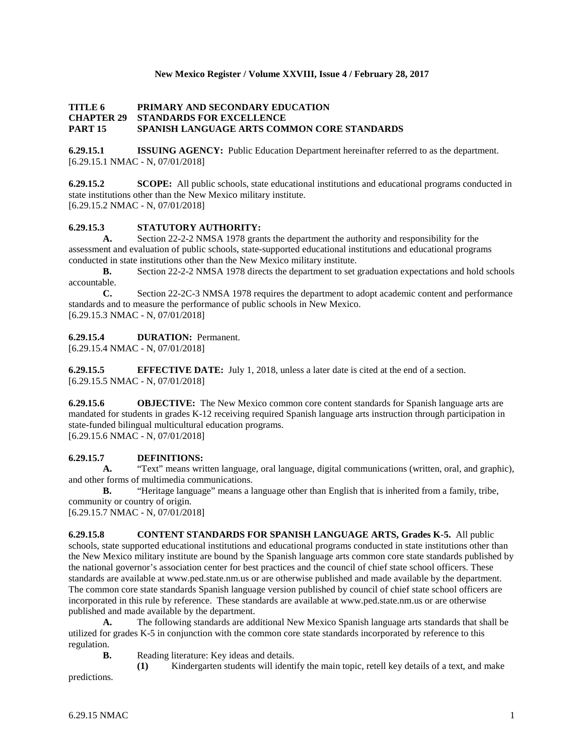## **New Mexico Register / Volume XXVIII, Issue 4 / February 28, 2017**

## **TITLE 6 PRIMARY AND SECONDARY EDUCATION CHAPTER 29 STANDARDS FOR EXCELLENCE PART 15 SPANISH LANGUAGE ARTS COMMON CORE STANDARDS**

**6.29.15.1 ISSUING AGENCY:** Public Education Department hereinafter referred to as the department. [6.29.15.1 NMAC - N, 07/01/2018]

**6.29.15.2 SCOPE:** All public schools, state educational institutions and educational programs conducted in state institutions other than the New Mexico military institute. [6.29.15.2 NMAC - N, 07/01/2018]

# **6.29.15.3 STATUTORY AUTHORITY:**

**A.** Section 22-2-2 NMSA 1978 grants the department the authority and responsibility for the assessment and evaluation of public schools, state-supported educational institutions and educational programs conducted in state institutions other than the New Mexico military institute.

**B.** Section 22-2-2 NMSA 1978 directs the department to set graduation expectations and hold schools accountable.

**C.** Section 22-2C-3 NMSA 1978 requires the department to adopt academic content and performance standards and to measure the performance of public schools in New Mexico. [6.29.15.3 NMAC - N, 07/01/2018]

#### **6.29.15.4 DURATION:** Permanent.

[6.29.15.4 NMAC - N, 07/01/2018]

**6.29.15.5 EFFECTIVE DATE:** July 1, 2018, unless a later date is cited at the end of a section. [6.29.15.5 NMAC - N, 07/01/2018]

**6.29.15.6 OBJECTIVE:** The New Mexico common core content standards for Spanish language arts are mandated for students in grades K-12 receiving required Spanish language arts instruction through participation in state-funded bilingual multicultural education programs. [6.29.15.6 NMAC - N, 07/01/2018]

# **6.29.15.7 DEFINITIONS:**

**A.** "Text" means written language, oral language, digital communications (written, oral, and graphic), and other forms of multimedia communications.

**B.** "Heritage language" means a language other than English that is inherited from a family, tribe, community or country of origin.

[6.29.15.7 NMAC - N, 07/01/2018]

**6.29.15.8 CONTENT STANDARDS FOR SPANISH LANGUAGE ARTS, Grades K-5.** All public schools, state supported educational institutions and educational programs conducted in state institutions other than the New Mexico military institute are bound by the Spanish language arts common core state standards published by the national governor's association center for best practices and the council of chief state school officers. These standards are available at www.ped.state.nm.us or are otherwise published and made available by the department. The common core state standards Spanish language version published by council of chief state school officers are incorporated in this rule by reference. These standards are available at www.ped.state.nm.us or are otherwise published and made available by the department.

**A.** The following standards are additional New Mexico Spanish language arts standards that shall be utilized for grades K-5 in conjunction with the common core state standards incorporated by reference to this regulation.

**B.** Reading literature: Key ideas and details.

**(1)** Kindergarten students will identify the main topic, retell key details of a text, and make predictions.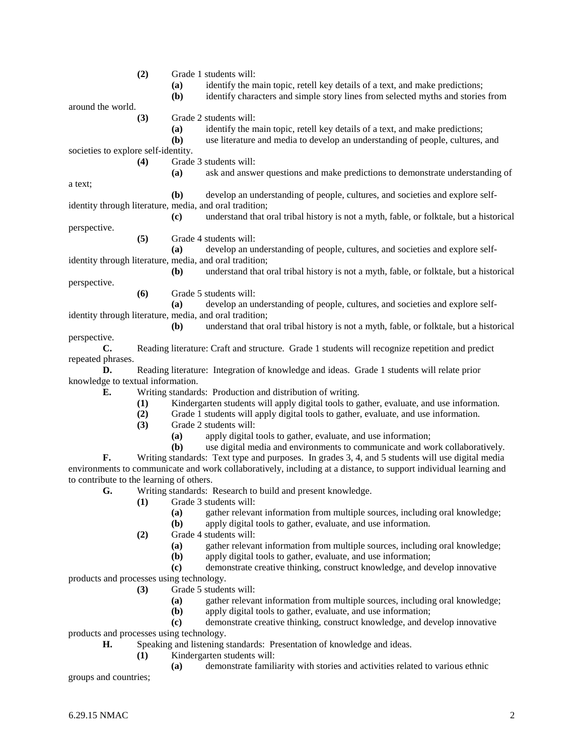|                                                                                                                                 | (2) | (a)<br>(b)   | Grade 1 students will:<br>identify the main topic, retell key details of a text, and make predictions;<br>identify characters and simple story lines from selected myths and stories from |
|---------------------------------------------------------------------------------------------------------------------------------|-----|--------------|-------------------------------------------------------------------------------------------------------------------------------------------------------------------------------------------|
| around the world.                                                                                                               |     |              |                                                                                                                                                                                           |
|                                                                                                                                 | (3) |              | Grade 2 students will:                                                                                                                                                                    |
|                                                                                                                                 |     | (a)          | identify the main topic, retell key details of a text, and make predictions;                                                                                                              |
|                                                                                                                                 |     | (b)          | use literature and media to develop an understanding of people, cultures, and                                                                                                             |
| societies to explore self-identity.                                                                                             |     |              |                                                                                                                                                                                           |
|                                                                                                                                 | (4) |              | Grade 3 students will:                                                                                                                                                                    |
|                                                                                                                                 |     | (a)          | ask and answer questions and make predictions to demonstrate understanding of                                                                                                             |
| a text;                                                                                                                         |     |              |                                                                                                                                                                                           |
|                                                                                                                                 |     | (b)          | develop an understanding of people, cultures, and societies and explore self-                                                                                                             |
| identity through literature, media, and oral tradition;                                                                         |     |              |                                                                                                                                                                                           |
|                                                                                                                                 |     | (c)          | understand that oral tribal history is not a myth, fable, or folktale, but a historical                                                                                                   |
| perspective.                                                                                                                    |     |              |                                                                                                                                                                                           |
|                                                                                                                                 | (5) |              | Grade 4 students will:                                                                                                                                                                    |
|                                                                                                                                 |     | (a)          | develop an understanding of people, cultures, and societies and explore self-                                                                                                             |
| identity through literature, media, and oral tradition;                                                                         |     |              |                                                                                                                                                                                           |
|                                                                                                                                 |     | ( <b>b</b> ) | understand that oral tribal history is not a myth, fable, or folktale, but a historical                                                                                                   |
| perspective.                                                                                                                    |     |              |                                                                                                                                                                                           |
|                                                                                                                                 | (6) |              | Grade 5 students will:                                                                                                                                                                    |
|                                                                                                                                 |     | (a)          | develop an understanding of people, cultures, and societies and explore self-                                                                                                             |
| identity through literature, media, and oral tradition;                                                                         |     |              |                                                                                                                                                                                           |
|                                                                                                                                 |     | (b)          | understand that oral tribal history is not a myth, fable, or folktale, but a historical                                                                                                   |
| perspective.                                                                                                                    |     |              |                                                                                                                                                                                           |
| $\mathbf{C}$ .                                                                                                                  |     |              | Reading literature: Craft and structure. Grade 1 students will recognize repetition and predict                                                                                           |
| repeated phrases.                                                                                                               |     |              |                                                                                                                                                                                           |
| D.                                                                                                                              |     |              |                                                                                                                                                                                           |
| Reading literature: Integration of knowledge and ideas. Grade 1 students will relate prior<br>knowledge to textual information. |     |              |                                                                                                                                                                                           |
| Е.                                                                                                                              |     |              | Writing standards: Production and distribution of writing.                                                                                                                                |
|                                                                                                                                 |     |              | Kindergarten students will apply digital tools to gather, evaluate, and use information.                                                                                                  |
|                                                                                                                                 | (1) |              |                                                                                                                                                                                           |
|                                                                                                                                 | (2) |              | Grade 1 students will apply digital tools to gather, evaluate, and use information.<br>Grade 2 students will:                                                                             |
|                                                                                                                                 | (3) |              | apply digital tools to gather, evaluate, and use information;                                                                                                                             |
|                                                                                                                                 |     | (a)<br>(b)   | use digital media and environments to communicate and work collaboratively.                                                                                                               |
| F.                                                                                                                              |     |              |                                                                                                                                                                                           |
|                                                                                                                                 |     |              | Writing standards: Text type and purposes. In grades 3, 4, and 5 students will use digital media                                                                                          |
|                                                                                                                                 |     |              | environments to communicate and work collaboratively, including at a distance, to support individual learning and                                                                         |
| to contribute to the learning of others.<br>Writing standards: Research to build and present knowledge.                         |     |              |                                                                                                                                                                                           |
| G.                                                                                                                              |     |              |                                                                                                                                                                                           |
|                                                                                                                                 | (1) |              | Grade 3 students will:                                                                                                                                                                    |
|                                                                                                                                 |     | (a)          | gather relevant information from multiple sources, including oral knowledge;                                                                                                              |
|                                                                                                                                 |     | (b)          | apply digital tools to gather, evaluate, and use information.                                                                                                                             |
|                                                                                                                                 | (2) |              | Grade 4 students will:                                                                                                                                                                    |
|                                                                                                                                 |     | (a)          | gather relevant information from multiple sources, including oral knowledge;                                                                                                              |
|                                                                                                                                 |     | (b)          | apply digital tools to gather, evaluate, and use information;                                                                                                                             |
|                                                                                                                                 |     | (c)          | demonstrate creative thinking, construct knowledge, and develop innovative                                                                                                                |
| products and processes using technology.                                                                                        |     |              |                                                                                                                                                                                           |
|                                                                                                                                 | (3) |              | Grade 5 students will:                                                                                                                                                                    |
|                                                                                                                                 |     | <b>(a)</b>   | gather relevant information from multiple sources, including oral knowledge;                                                                                                              |
|                                                                                                                                 |     | (b)          | apply digital tools to gather, evaluate, and use information;                                                                                                                             |
|                                                                                                                                 |     | (c)          | demonstrate creative thinking, construct knowledge, and develop innovative                                                                                                                |
| products and processes using technology.                                                                                        |     |              |                                                                                                                                                                                           |
| Н.                                                                                                                              |     |              | Speaking and listening standards: Presentation of knowledge and ideas.                                                                                                                    |
|                                                                                                                                 | (1) |              | Kindergarten students will:                                                                                                                                                               |
|                                                                                                                                 |     | (a)          | demonstrate familiarity with stories and activities related to various ethnic                                                                                                             |
| groups and countries;                                                                                                           |     |              |                                                                                                                                                                                           |
|                                                                                                                                 |     |              |                                                                                                                                                                                           |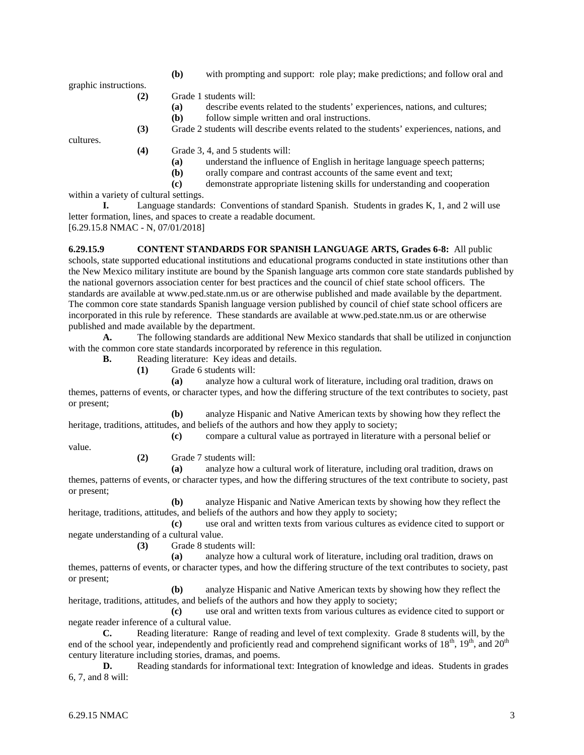graphic instructions.

**(b)** with prompting and support: role play; make predictions; and follow oral and

**(2)** Grade 1 students will:

- **(a)** describe events related to the students' experiences, nations, and cultures;
	- **(b)** follow simple written and oral instructions.
- **(3)** Grade 2 students will describe events related to the students' experiences, nations, and

cultures.

**(4)** Grade 3, 4, and 5 students will:

- **(a)** understand the influence of English in heritage language speech patterns;
- **(b)** orally compare and contrast accounts of the same event and text;
- **(c)** demonstrate appropriate listening skills for understanding and cooperation

within a variety of cultural settings.

**I.** Language standards: Conventions of standard Spanish. Students in grades K, 1, and 2 will use letter formation, lines, and spaces to create a readable document.

[6.29.15.8 NMAC - N, 07/01/2018]

**6.29.15.9 CONTENT STANDARDS FOR SPANISH LANGUAGE ARTS, Grades 6-8:** All public schools, state supported educational institutions and educational programs conducted in state institutions other than the New Mexico military institute are bound by the Spanish language arts common core state standards published by the national governors association center for best practices and the council of chief state school officers. The standards are available at www.ped.state.nm.us or are otherwise published and made available by the department. The common core state standards Spanish language version published by council of chief state school officers are incorporated in this rule by reference. These standards are available at www.ped.state.nm.us or are otherwise published and made available by the department.

**A.** The following standards are additional New Mexico standards that shall be utilized in conjunction with the common core state standards incorporated by reference in this regulation.

**B.** Reading literature: Key ideas and details.

**(1)** Grade 6 students will:

**(a)** analyze how a cultural work of literature, including oral tradition, draws on themes, patterns of events, or character types, and how the differing structure of the text contributes to society, past or present;

**(b)** analyze Hispanic and Native American texts by showing how they reflect the heritage, traditions, attitudes, and beliefs of the authors and how they apply to society;

**(c)** compare a cultural value as portrayed in literature with a personal belief or

value.

**(2)** Grade 7 students will:

**(a)** analyze how a cultural work of literature, including oral tradition, draws on themes, patterns of events, or character types, and how the differing structures of the text contribute to society, past or present;

**(b)** analyze Hispanic and Native American texts by showing how they reflect the heritage, traditions, attitudes, and beliefs of the authors and how they apply to society;

**(c)** use oral and written texts from various cultures as evidence cited to support or negate understanding of a cultural value.

**(3)** Grade 8 students will:

**(a)** analyze how a cultural work of literature, including oral tradition, draws on themes, patterns of events, or character types, and how the differing structure of the text contributes to society, past or present;

**(b)** analyze Hispanic and Native American texts by showing how they reflect the heritage, traditions, attitudes, and beliefs of the authors and how they apply to society;

**(c)** use oral and written texts from various cultures as evidence cited to support or negate reader inference of a cultural value.

**C.** Reading literature: Range of reading and level of text complexity. Grade 8 students will, by the end of the school year, independently and proficiently read and comprehend significant works of  $18<sup>th</sup>$ ,  $19<sup>th</sup>$ , and  $20<sup>th</sup>$ century literature including stories, dramas, and poems.

**D.** Reading standards for informational text: Integration of knowledge and ideas. Students in grades 6, 7, and 8 will: